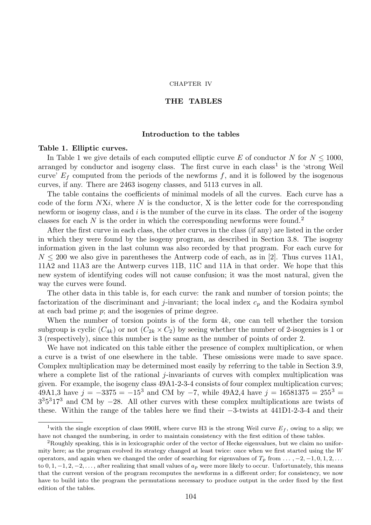#### CHAPTER IV

## THE TABLES

### Introduction to the tables

# Table 1. Elliptic curves.

In Table 1 we give details of each computed elliptic curve E of conductor N for  $N \le 1000$ , arranged by conductor and isogeny class. The first curve in each class<sup>1</sup> is the 'strong Weil curve'  $E_f$  computed from the periods of the newforms f, and it is followed by the isogenous curves, if any. There are 2463 isogeny classes, and 5113 curves in all.

The table contains the coefficients of minimal models of all the curves. Each curve has a code of the form  $NXi$ , where N is the conductor, X is the letter code for the corresponding newform or isogeny class, and  $i$  is the number of the curve in its class. The order of the isogeny classes for each  $N$  is the order in which the corresponding newforms were found.<sup>2</sup>

After the first curve in each class, the other curves in the class (if any) are listed in the order in which they were found by the isogeny program, as described in Section 3.8. The isogeny information given in the last column was also recorded by that program. For each curve for  $N \leq 200$  we also give in parentheses the Antwerp code of each, as in [2]. Thus curves 11A1, 11A2 and 11A3 are the Antwerp curves 11B, 11C and 11A in that order. We hope that this new system of identifying codes will not cause confusion; it was the most natural, given the way the curves were found.

The other data in this table is, for each curve: the rank and number of torsion points; the factorization of the discriminant and j-invariant; the local index  $c_p$  and the Kodaira symbol at each bad prime p; and the isogenies of prime degree.

When the number of torsion points is of the form 4k, one can tell whether the torsion subgroup is cyclic  $(C_{4k})$  or not  $(C_{2k} \times C_2)$  by seeing whether the number of 2-isogenies is 1 or 3 (respectively), since this number is the same as the number of points of order 2.

We have not indicated on this table either the presence of complex multiplication, or when a curve is a twist of one elsewhere in the table. These omissions were made to save space. Complex multiplication may be determined most easily by referring to the table in Section 3.9, where a complete list of the rational  $j$ -invariants of curves with complex multiplication was given. For example, the isogeny class 49A1-2-3-4 consists of four complex multiplication curves; 49A1,3 have  $j = -3375 = -15^3$  and CM by  $-7$ , while 49A2,4 have  $j = 16581375 = 255^3$  $3<sup>3</sup>5<sup>3</sup>17<sup>3</sup>$  and CM by −28. All other curves with these complex multiplications are twists of these. Within the range of the tables here we find their −3-twists at 441D1-2-3-4 and their

<sup>&</sup>lt;sup>1</sup>with the single exception of class 990H, where curve H3 is the strong Weil curve  $E_f$ , owing to a slip; we have not changed the numbering, in order to maintain consistency with the first edition of these tables.

<sup>2</sup>Roughly speaking, this is in lexicographic order of the vector of Hecke eigenvalues, but we claim no uniformity here; as the program evolved its strategy changed at least twice: once when we first started using the W operators, and again when we changed the order of searching for eigenvalues of  $T_p$  from  $\ldots$ ,  $-2$ ,  $-1$ ,  $0, 1, 2, \ldots$ to  $0, 1, -1, 2, -2, \ldots$ , after realizing that small values of  $a_p$  were more likely to occur. Unfortunately, this means that the current version of the program recomputes the newforms in a different order; for consistency, we now have to build into the program the permutations necessary to produce output in the order fixed by the first edition of the tables.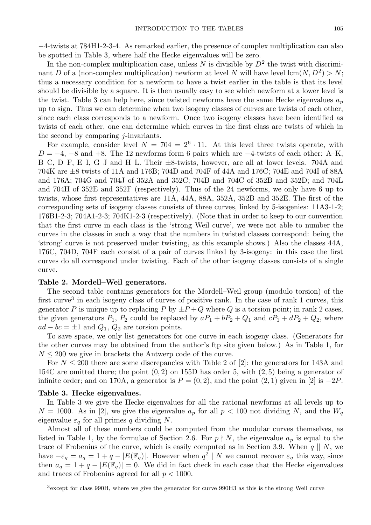−4-twists at 784H1-2-3-4. As remarked earlier, the presence of complex multiplication can also be spotted in Table 3, where half the Hecke eigenvalues will be zero.

In the non-complex multiplication case, unless N is divisible by  $D^2$  the twist with discriminant D of a (non-complex multiplication) newform at level N will have level  $\text{lcm}(N, D^2) > N$ ; thus a necessary condition for a newform to have a twist earlier in the table is that its level should be divisible by a square. It is then usually easy to see which newform at a lower level is the twist. Table 3 can help here, since twisted newforms have the same Hecke eigenvalues  $a_p$ up to sign. Thus we can determine when two isogeny classes of curves are twists of each other, since each class corresponds to a newform. Once two isogeny classes have been identified as twists of each other, one can determine which curves in the first class are twists of which in the second by comparing  $i$ -invariants.

For example, consider level  $N = 704 = 2^6 \cdot 11$ . At this level three twists operate, with  $D = -4$ ,  $-8$  and  $+8$ . The 12 newforms form 6 pairs which are  $-4$ -twists of each other: A–K, B–C, D–F, E–I, G–J and H–L. Their ±8-twists, however, are all at lower levels. 704A and 704K are ±8 twists of 11A and 176B; 704D and 704F of 44A and 176C; 704E and 704I of 88A and 176A; 704G and 704J of 352A and 352C; 704B and 704C of 352B and 352D; and 704L and 704H of 352E and 352F (respectively). Thus of the 24 newforms, we only have 6 up to twists, whose first representatives are 11A, 44A, 88A, 352A, 352B and 352E. The first of the corresponding sets of isogeny classes consists of three curves, linked by 5-isogenies: 11A3-1-2; 176B1-2-3; 704A1-2-3; 704K1-2-3 (respectively). (Note that in order to keep to our convention that the first curve in each class is the 'strong Weil curve', we were not able to number the curves in the classes in such a way that the numbers in twisted classes correspond: being the 'strong' curve is not preserved under twisting, as this example shows.) Also the classes 44A, 176C, 704D, 704F each consist of a pair of curves linked by 3-isogeny: in this case the first curves do all correspond under twisting. Each of the other isogeny classes consists of a single curve.

# Table 2. Mordell–Weil generators.

The second table contains generators for the Mordell–Weil group (modulo torsion) of the first curve<sup>3</sup> in each isogeny class of curves of positive rank. In the case of rank 1 curves, this generator P is unique up to replacing P by  $\pm P + Q$  where Q is a torsion point; in rank 2 cases, the given generators  $P_1$ ,  $P_2$  could be replaced by  $aP_1 + bP_2 + Q_1$  and  $cP_1 + dP_2 + Q_2$ , where  $ad - bc = \pm 1$  and  $Q_1$ ,  $Q_2$  are torsion points.

To save space, we only list generators for one curve in each isogeny class. (Generators for the other curves may be obtained from the author's ftp site given below.) As in Table 1, for  $N \leq 200$  we give in brackets the Antwerp code of the curve.

For  $N \leq 200$  there are some discrepancies with Table 2 of [2]: the generators for 143A and 154C are omitted there; the point  $(0, 2)$  on 155D has order 5, with  $(2, 5)$  being a generator of infinite order; and on 170A, a generator is  $P = (0, 2)$ , and the point  $(2, 1)$  given in [2] is  $-2P$ .

## Table 3. Hecke eigenvalues.

In Table 3 we give the Hecke eigenvalues for all the rational newforms at all levels up to  $N = 1000$ . As in [2], we give the eigenvalue  $a_p$  for all  $p < 100$  not dividing N, and the  $W_q$ eigenvalue  $\varepsilon_q$  for all primes q dividing N.

Almost all of these numbers could be computed from the modular curves themselves, as listed in Table 1, by the formulae of Section 2.6. For  $p \nmid N$ , the eigenvalue  $a_p$  is equal to the trace of Frobenius of the curve, which is easily computed as in Section 3.9. When  $q \parallel N$ , we have  $-\varepsilon_q = a_q = 1 + q - |E(\mathbb{F}_q)|$ . However when  $q^2 | N$  we cannot recover  $\varepsilon_q$  this way, since then  $a_q = 1 + q - |E(\mathbb{F}_q)| = 0$ . We did in fact check in each case that the Hecke eigenvalues and traces of Frobenius agreed for all  $p < 1000$ .

<sup>3</sup>except for class 990H, where we give the generator for curve 990H3 as this is the strong Weil curve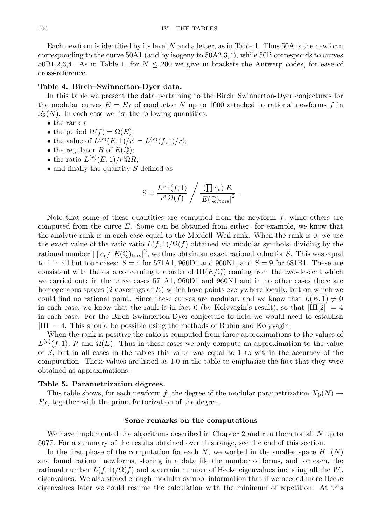Each newform is identified by its level  $N$  and a letter, as in Table 1. Thus 50A is the newform corresponding to the curve 50A1 (and by isogeny to 50A2,3,4), while 50B corresponds to curves 50B1,2,3,4. As in Table 1, for  $N \leq 200$  we give in brackets the Antwerp codes, for ease of cross-reference.

## Table 4. Birch–Swinnerton-Dyer data.

In this table we present the data pertaining to the Birch–Swinnerton-Dyer conjectures for the modular curves  $E = E_f$  of conductor N up to 1000 attached to rational newforms f in  $S_2(N)$ . In each case we list the following quantities:

- $\bullet$  the rank r
- the period  $\Omega(f) = \Omega(E);$
- the value of  $L^{(r)}(E,1)/r! = L^{(r)}(f,1)/r!$ ;
- the regulator R of  $E(\mathbb{Q})$ ;
- the ratio  $L^{(r)}(E,1)/r!\Omega R;$
- $\bullet$  and finally the quantity S defined as

$$
S = \frac{L^{(r)}(f,1)}{r! \Omega(f)} / \frac{(\prod c_p) R}{|E(\mathbb{Q})_{\text{tors}}|^2} .
$$

Note that some of these quantities are computed from the newform  $f$ , while others are computed from the curve  $E$ . Some can be obtained from either: for example, we know that the analytic rank is in each case equal to the Mordell–Weil rank. When the rank is 0, we use the exact value of the ratio ratio  $L(f, 1)/\Omega(f)$  obtained via modular symbols; dividing by the rational number  $\prod c_p / \left| E(\mathbb{Q})_{\mathrm{tors}} \right|^2$ , we thus obtain an exact rational value for S. This was equal to 1 in all but four cases:  $S = 4$  for 571A1, 960D1 and 960N1, and  $S = 9$  for 681B1. These are consistent with the data concerning the order of  $III(E/\mathbb{Q})$  coming from the two-descent which we carried out: in the three cases 571A1, 960D1 and 960N1 and in no other cases there are homogeneous spaces (2-coverings of  $E$ ) which have points everywhere locally, but on which we could find no rational point. Since these curves are modular, and we know that  $L(E, 1) \neq 0$ in each case, we know that the rank is in fact 0 (by Kolyvagin's result), so that  $|III[2]| = 4$ in each case. For the Birch–Swinnerton-Dyer conjecture to hold we would need to establish  $|III| = 4$ . This should be possible using the methods of Rubin and Kolyvagin.

When the rank is positive the ratio is computed from three approximations to the values of  $L^{(r)}(f,1)$ , R and  $\Omega(E)$ . Thus in these cases we only compute an approximation to the value of  $S$ ; but in all cases in the tables this value was equal to 1 to within the accuracy of the computation. These values are listed as 1.0 in the table to emphasize the fact that they were obtained as approximations.

#### Table 5. Parametrization degrees.

This table shows, for each newform f, the degree of the modular parametrization  $X_0(N) \to$  $E_f$ , together with the prime factorization of the degree.

### Some remarks on the computations

We have implemented the algorithms described in Chapter 2 and run them for all N up to 5077. For a summary of the results obtained over this range, see the end of this section.

In the first phase of the computation for each N, we worked in the smaller space  $H^+(N)$ and found rational newforms, storing in a data file the number of forms, and for each, the rational number  $L(f, 1)/\Omega(f)$  and a certain number of Hecke eigenvalues including all the  $W_q$ eigenvalues. We also stored enough modular symbol information that if we needed more Hecke eigenvalues later we could resume the calculation with the minimum of repetition. At this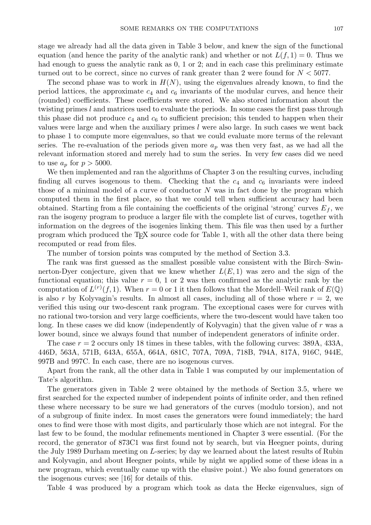stage we already had all the data given in Table 3 below, and knew the sign of the functional equation (and hence the parity of the analytic rank) and whether or not  $L(f, 1) = 0$ . Thus we had enough to guess the analytic rank as  $0, 1$  or  $2$ ; and in each case this preliminary estimate turned out to be correct, since no curves of rank greater than 2 were found for  $N < 5077$ .

The second phase was to work in  $H(N)$ , using the eigenvalues already known, to find the period lattices, the approximate  $c_4$  and  $c_6$  invariants of the modular curves, and hence their (rounded) coefficients. These coefficients were stored. We also stored information about the twisting primes l and matrices used to evaluate the periods. In some cases the first pass through this phase did not produce  $c_4$  and  $c_6$  to sufficient precision; this tended to happen when their values were large and when the auxiliary primes  $l$  were also large. In such cases we went back to phase 1 to compute more eigenvalues, so that we could evaluate more terms of the relevant series. The re-evaluation of the periods given more  $a_p$  was then very fast, as we had all the relevant information stored and merely had to sum the series. In very few cases did we need to use  $a_p$  for  $p > 5000$ .

We then implemented and ran the algorithms of Chapter 3 on the resulting curves, including finding all curves isogenous to them. Checking that the  $c_4$  and  $c_6$  invariants were indeed those of a minimal model of a curve of conductor  $N$  was in fact done by the program which computed them in the first place, so that we could tell when sufficient accuracy had been obtained. Starting from a file containing the coefficients of the original 'strong' curves  $E_f$ , we ran the isogeny program to produce a larger file with the complete list of curves, together with information on the degrees of the isogenies linking them. This file was then used by a further program which produced the T<sub>EX</sub> source code for Table 1, with all the other data there being recomputed or read from files.

The number of torsion points was computed by the method of Section 3.3.

The rank was first guessed as the smallest possible value consistent with the Birch–Swinnerton-Dyer conjecture, given that we knew whether  $L(E, 1)$  was zero and the sign of the functional equation; this value  $r = 0$ , 1 or 2 was then confirmed as the analytic rank by the computation of  $L^{(r)}(f,1)$ . When  $r=0$  or 1 it then follows that the Mordell–Weil rank of  $E(\mathbb{Q})$ is also r by Kolyvagin's results. In almost all cases, including all of those where  $r = 2$ , we verified this using our two-descent rank program. The exceptional cases were for curves with no rational two-torsion and very large coefficients, where the two-descent would have taken too long. In these cases we did know (independently of Kolyvagin) that the given value of r was a lower bound, since we always found that number of independent generators of infinite order.

The case  $r = 2$  occurs only 18 times in these tables, with the following curves: 389A, 433A, 446D, 563A, 571B, 643A, 655A, 664A, 681C, 707A, 709A, 718B, 794A, 817A, 916C, 944E, 997B and 997C. In each case, there are no isogenous curves.

Apart from the rank, all the other data in Table 1 was computed by our implementation of Tate's algorithm.

The generators given in Table 2 were obtained by the methods of Section 3.5, where we first searched for the expected number of independent points of infinite order, and then refined these where necessary to be sure we had generators of the curves (modulo torsion), and not of a subgroup of finite index. In most cases the generators were found immediately; the hard ones to find were those with most digits, and particularly those which are not integral. For the last few to be found, the modular refinements mentioned in Chapter 3 were essential. (For the record, the generator of 873C1 was first found not by search, but via Heegner points, during the July 1989 Durham meeting on L-series; by day we learned about the latest results of Rubin and Kolyvagin, and about Heegner points, while by night we applied some of these ideas in a new program, which eventually came up with the elusive point.) We also found generators on the isogenous curves; see [16] for details of this.

Table 4 was produced by a program which took as data the Hecke eigenvalues, sign of